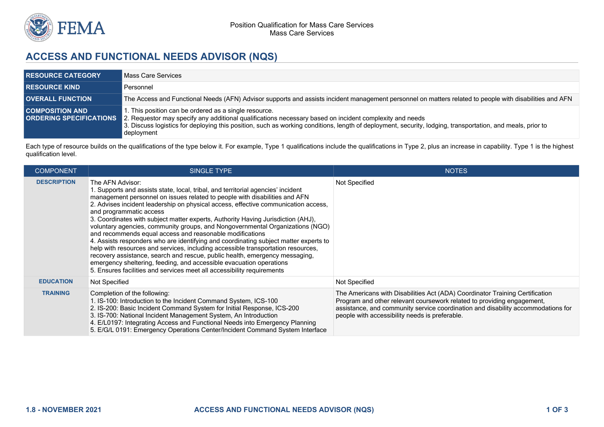

## **ACCESS AND FUNCTIONAL NEEDS ADVISOR (NQS)**

| <b>RESOURCE CATEGORY</b> | Mass Care Services                                                                                                                                                                                                                                                                                                                                                   |
|--------------------------|----------------------------------------------------------------------------------------------------------------------------------------------------------------------------------------------------------------------------------------------------------------------------------------------------------------------------------------------------------------------|
| <b>RESOURCE KIND</b>     | Personnel                                                                                                                                                                                                                                                                                                                                                            |
| <b>OVERALL FUNCTION</b>  | The Access and Functional Needs (AFN) Advisor supports and assists incident management personnel on matters related to people with disabilities and AFN                                                                                                                                                                                                              |
| <b>COMPOSITION AND</b>   | I. This position can be ordered as a single resource.<br>ORDERING SPECIFICATIONS 2. Requestor may specify any additional qualifications necessary based on incident complexity and needs<br>3. Discuss logistics for deploying this position, such as working conditions, length of deployment, security, lodging, transportation, and meals, prior to<br>deployment |

Each type of resource builds on the qualifications of the type below it. For example, Type 1 qualifications include the qualifications in Type 2, plus an increase in capability. Type 1 is the highest qualification level.

| <b>COMPONENT</b>   | SINGLE TYPE                                                                                                                                                                                                                                                                                                                                                                                                                                                                                                                                                                                                                                                                                                                                                                                                                                                                                                                                      | <b>NOTES</b>                                                                                                                                                                                                                                                                                 |
|--------------------|--------------------------------------------------------------------------------------------------------------------------------------------------------------------------------------------------------------------------------------------------------------------------------------------------------------------------------------------------------------------------------------------------------------------------------------------------------------------------------------------------------------------------------------------------------------------------------------------------------------------------------------------------------------------------------------------------------------------------------------------------------------------------------------------------------------------------------------------------------------------------------------------------------------------------------------------------|----------------------------------------------------------------------------------------------------------------------------------------------------------------------------------------------------------------------------------------------------------------------------------------------|
| <b>DESCRIPTION</b> | The AFN Advisor:<br>1. Supports and assists state, local, tribal, and territorial agencies' incident<br>management personnel on issues related to people with disabilities and AFN<br>2. Advises incident leadership on physical access, effective communication access,<br>and programmatic access<br>3. Coordinates with subject matter experts, Authority Having Jurisdiction (AHJ),<br>voluntary agencies, community groups, and Nongovernmental Organizations (NGO)<br>and recommends equal access and reasonable modifications<br>4. Assists responders who are identifying and coordinating subject matter experts to<br>help with resources and services, including accessible transportation resources,<br>recovery assistance, search and rescue, public health, emergency messaging,<br>emergency sheltering, feeding, and accessible evacuation operations<br>5. Ensures facilities and services meet all accessibility requirements | Not Specified                                                                                                                                                                                                                                                                                |
| <b>EDUCATION</b>   | Not Specified                                                                                                                                                                                                                                                                                                                                                                                                                                                                                                                                                                                                                                                                                                                                                                                                                                                                                                                                    | Not Specified                                                                                                                                                                                                                                                                                |
| <b>TRAINING</b>    | Completion of the following:<br>1. IS-100: Introduction to the Incident Command System, ICS-100<br>2. IS-200: Basic Incident Command System for Initial Response, ICS-200<br>3. IS-700: National Incident Management System, An Introduction<br>4. E/L0197: Integrating Access and Functional Needs into Emergency Planning<br>5. E/G/L 0191: Emergency Operations Center/Incident Command System Interface                                                                                                                                                                                                                                                                                                                                                                                                                                                                                                                                      | The Americans with Disabilities Act (ADA) Coordinator Training Certification<br>Program and other relevant coursework related to providing engagement,<br>assistance, and community service coordination and disability accommodations for<br>people with accessibility needs is preferable. |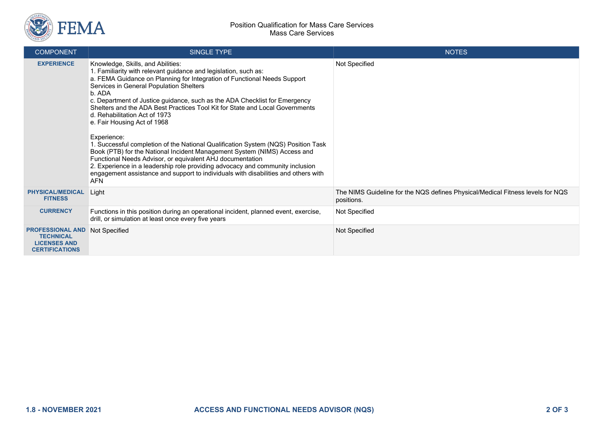

| <b>COMPONENT</b>                                                                            | <b>SINGLE TYPE</b>                                                                                                                                                                                                                                                                                                                                                                                                                                                                                                                                                                                                                                                                                                                                                                                                                                                                                    | <b>NOTES</b>                                                                                 |
|---------------------------------------------------------------------------------------------|-------------------------------------------------------------------------------------------------------------------------------------------------------------------------------------------------------------------------------------------------------------------------------------------------------------------------------------------------------------------------------------------------------------------------------------------------------------------------------------------------------------------------------------------------------------------------------------------------------------------------------------------------------------------------------------------------------------------------------------------------------------------------------------------------------------------------------------------------------------------------------------------------------|----------------------------------------------------------------------------------------------|
| <b>EXPERIENCE</b>                                                                           | Knowledge, Skills, and Abilities:<br>1. Familiarity with relevant guidance and legislation, such as:<br>a. FEMA Guidance on Planning for Integration of Functional Needs Support<br>Services in General Population Shelters<br>b. ADA<br>c. Department of Justice guidance, such as the ADA Checklist for Emergency<br>Shelters and the ADA Best Practices Tool Kit for State and Local Governments<br>d. Rehabilitation Act of 1973<br>e. Fair Housing Act of 1968<br>Experience:<br>1. Successful completion of the National Qualification System (NQS) Position Task<br>Book (PTB) for the National Incident Management System (NIMS) Access and<br>Functional Needs Advisor, or equivalent AHJ documentation<br>2. Experience in a leadership role providing advocacy and community inclusion<br>engagement assistance and support to individuals with disabilities and others with<br><b>AFN</b> | Not Specified                                                                                |
| <b>PHYSICAL/MEDICAL</b><br><b>FITNESS</b>                                                   | Light                                                                                                                                                                                                                                                                                                                                                                                                                                                                                                                                                                                                                                                                                                                                                                                                                                                                                                 | The NIMS Guideline for the NQS defines Physical/Medical Fitness levels for NQS<br>positions. |
| <b>CURRENCY</b>                                                                             | Functions in this position during an operational incident, planned event, exercise,<br>drill, or simulation at least once every five years                                                                                                                                                                                                                                                                                                                                                                                                                                                                                                                                                                                                                                                                                                                                                            | Not Specified                                                                                |
| <b>PROFESSIONAL AND</b><br><b>TECHNICAL</b><br><b>LICENSES AND</b><br><b>CERTIFICATIONS</b> | Not Specified                                                                                                                                                                                                                                                                                                                                                                                                                                                                                                                                                                                                                                                                                                                                                                                                                                                                                         | Not Specified                                                                                |